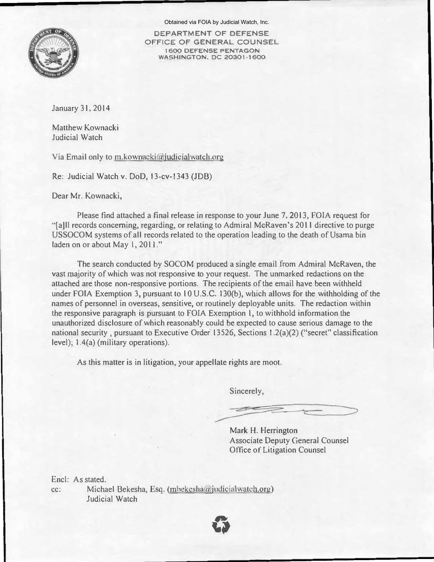

Obtained via FOIA by Judicial Watch, Inc.

DEPARTMENT OF DEFENSE OFFICE OF GENERAL COUNSEL 1 600 DEFENSE PENTAGON WASHINGTON, DC 20301-1600

January 31, 2014

Matthew Kownacki Judicial Watch

Via Email only to m.kownacki@judicialwatch.org

Re: Judicial Watch v. DoD, 13-cv-1343 (JOB)

Dear Mr. Kownacki,

Please find attached a final release in response to your June 7, 2013, FOIA request for "[a]ll records concerning, regarding, or relating to Admiral McRaven's 2011 directive to purge USSOCOM systems of all records related to the operation leading to the death of Usama bin laden on or about May 1, 2011."

The search conducted by SOCOM produced a single email from Admiral McRaven, the vast majority of which was not responsive to your request. The unmarked redactions on the attached are those non-responsive portions. The recipients of the email have been withheld under FOIA Exemption 3, pursuant to 10 U.S.C. 130(b), which allows for the withholding of the names of personnel in overseas, sensitive, or routinely deployable units. The redaction within the responsive paragraph is pursuant to FOIA Exemption 1, to withhold information the unauthorized disclosure of which reasonably could be expected to cause serious damage to the national security, pursuant to Executive Order 13526, Sections 1.2(a)(2) ("secret" classification level); 1.4(a) (military operations).

As this matter is in litigation, your appellate rights are moot.

Sincerely,

Mark H. Herrington Associate Deputy General Counsel Office of Litigation Counsel

cc: Michael Bekesha, Esq. (mbekesha@judicialwatch.org) Encl: As stated. Judicial Watch

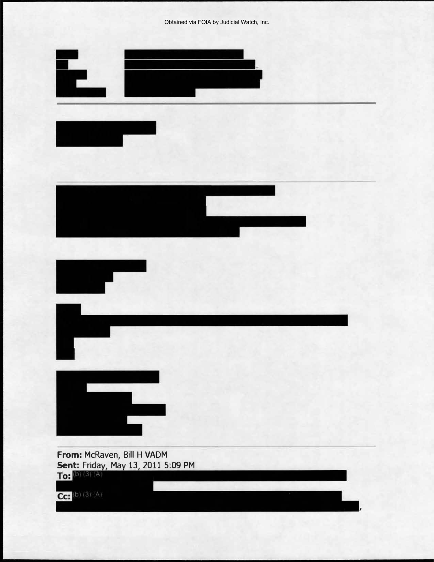Obtained via FOIA by Judicial Watch, Inc.

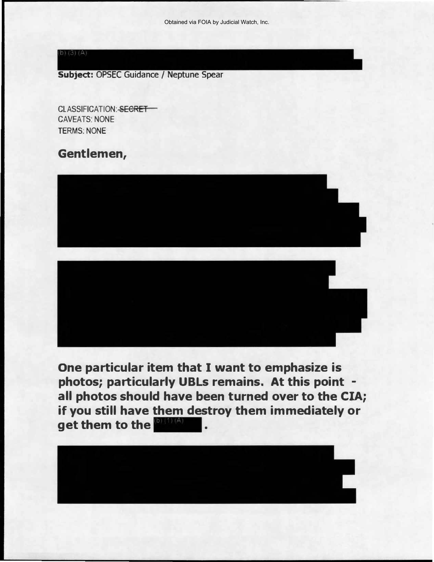$b) (3) (A)$ 

Subject: OPSEC Guidance / Neptune Spear

CLASSIFICATION: SECRET **CAVEATS: NONE** TERMS: NONE

## Gentlemen,





One particular item that I want to emphasize is photos; particularly UBLs remains. At this point all photos should have been turned over to the CIA; if you still have them destroy them immediately or get them to the **DIMAN** 

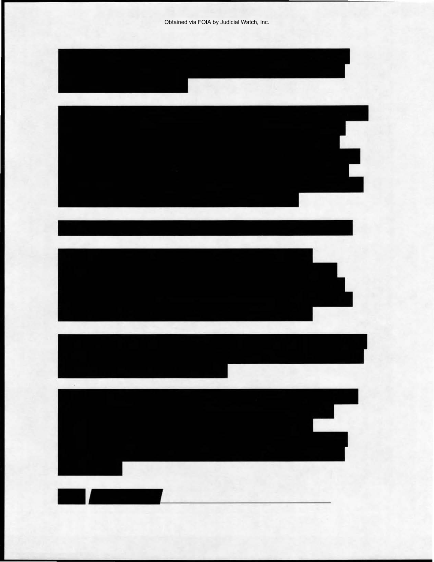Obtained via FOIA by Judicial Watch, Inc.

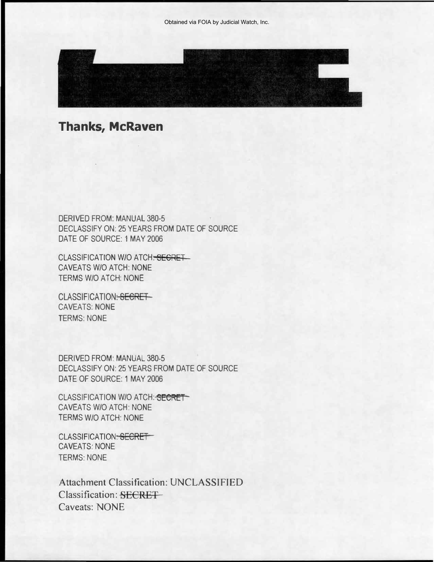

## Thanks, McRaven

DERIVED FROM: MANUAL 380-5 DECLASSIFY ON: 25 YEARS FROM DATE OF SOURCE DATE OF SOURCE: 1 MAY 2006

CLASSIFICATION W/O ATCH<del>. SECRET\_</del> CAVEATS W/O ATCH: NONE TERMS W/O ATCH: NONE

CLASSIFICATION: SECRET CAVEATS: NONE TERMS: NONE

DERIVED FROM: MANUAL 380-5 DECLASSIFY ON: 25 YEARS FROM DATE OF SOURCE DATE OF SOURCE: 1 MAY 2006

CLASSIFICATION W/O ATCH: SECRETT CAVEATS W/O ATCH: NONE TERMS W/O ATCH: NONE

CLASSIFICATION: SECRET CAVEATS: NONE TERMS: NONE

Classification: SECRET Attachment Classification: UNCLASSIFIED Caveats: NONE